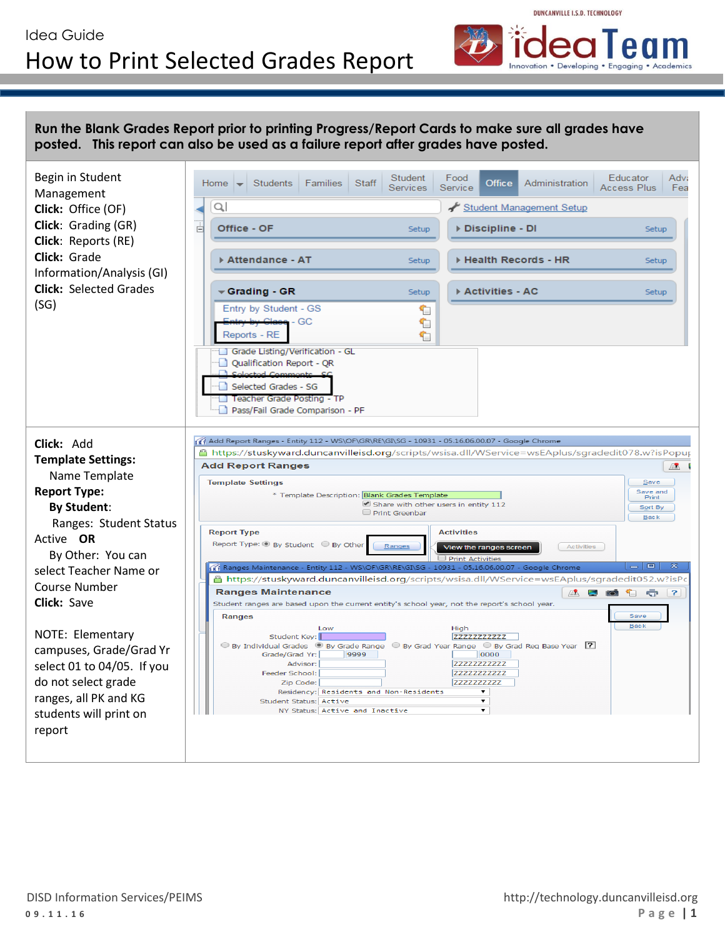## Idea Guide How to Print Selected Grades Report



**Run the Blank Grades Report prior to printing Progress/Report Cards to make sure all grades have posted. This report can also be used as a failure report after grades have posted.** 

| Begin in Student<br>Management                    | Educator<br>Adv:<br>Food<br>Student<br><b>Students</b><br>Families<br><b>Staff</b><br>Home<br>Administration<br>Office<br>Services<br>Access Plus<br>Fea<br>Service |
|---------------------------------------------------|---------------------------------------------------------------------------------------------------------------------------------------------------------------------|
| Click: Office (OF)                                | Q,<br>Student Management Setup                                                                                                                                      |
| Click: Grading (GR)<br><b>Click: Reports (RE)</b> | Office - OF<br>Discipline - DI<br>Ė<br>Setup<br>Setup                                                                                                               |
| Click: Grade<br>Information/Analysis (GI)         | ▶ Attendance - AT<br>▶ Health Records - HR<br>Setup<br>Setup                                                                                                        |
| <b>Click: Selected Grades</b>                     | Activities - AC<br><del>←</del> Grading - GR<br>Setup<br>Setup                                                                                                      |
| (SG)                                              | Entry by Student - GS<br>€<br><del>Class</del> - GC<br>℄                                                                                                            |
|                                                   | Reports - RE<br>€<br>Grade Listing/Verification - GL                                                                                                                |
|                                                   | Qualification Report - QR<br>Colortod Comm                                                                                                                          |
|                                                   | Selected Grades - SG<br>Teacher Grade Posting - TP                                                                                                                  |
|                                                   | Pass/Fail Grade Comparison - PF                                                                                                                                     |
| Click: Add                                        | of Add Report Ranges - Entity 112 - WS\OF\GR\RE\GI\SG - 10931 - 05.16.06.00.07 - Google Chrome                                                                      |
| <b>Template Settings:</b>                         | https://stuskyward.duncanvilleisd.org/scripts/wsisa.dll/WService=wsEAplus/sgradedit078.w?isPopup ا                                                                  |
| Name Template                                     | <b>Add Report Ranges</b><br>風                                                                                                                                       |
|                                                   | <b>Template Settings</b><br>Save                                                                                                                                    |
| <b>Report Type:</b>                               | Save and<br>* Template Description: Blank Grades Template<br>Print<br>Share with other users in entity 112                                                          |
| <b>By Student:</b>                                | Sort By<br>Print Greenbar<br><b>Back</b>                                                                                                                            |
| Ranges: Student Status                            | <b>Report Type</b><br><b>Activities</b>                                                                                                                             |
| Active <b>OR</b>                                  | Report Type: O By Student O By Other<br>Ranges<br>Activities<br>View the ranges screen                                                                              |
| By Other: You can                                 | <b>Print Activities</b>                                                                                                                                             |
| select Teacher Name or                            | $ - $ $\Box$ $ $<br>$\sqrt{6}$ Ranges Maintenance - Entity 112 - WS\OF\GR\RE\GI\SG - 10931 - 05.16.06.00.07 - Google Chrome                                         |
| Course Number                                     | <mark>△</mark> https:// <b>stuskyward.duncanvilleisd.org</b> /scripts/wsisa.dll/WService=wsEAplus/sgradedit052.w?isPo<br><b>Ranges Maintenance</b>                  |
| Click: Save                                       | Æ<br>60 G G ?<br><b>CO</b><br>Student ranges are based upon the current entity's school year, not the report's school year.                                         |
|                                                   | <b>Ranges</b><br>Save                                                                                                                                               |
| NOTE: Elementary                                  | <b>Back</b><br>Low<br>High<br>Student Key:<br><b>ZZZZZZZZZZZZZ</b>                                                                                                  |
| campuses, Grade/Grad Yr                           | $\circledcirc$ By Grad Year Range $\circledcirc$ By Grad Req Base Year [?]                                                                                          |
| select 01 to 04/05. If you                        | 9999<br>Grade/Grad Yr:<br>0000<br><b>ZZZZZZZZZZZZZ</b><br>Advisor:                                                                                                  |
|                                                   | <b>ZZZZZZZZZZZZZZ</b><br>Feeder School:                                                                                                                             |
| do not select grade                               | Zip Code:<br><b>ZZZZZZZZZZZZ</b><br>Residency: Residents and Non-Residents                                                                                          |
| ranges, all PK and KG                             | ▼<br>Student Status: Active                                                                                                                                         |
| students will print on                            | ۰<br>NY Status: Active and Inactive                                                                                                                                 |
| report                                            |                                                                                                                                                                     |
|                                                   |                                                                                                                                                                     |
|                                                   |                                                                                                                                                                     |